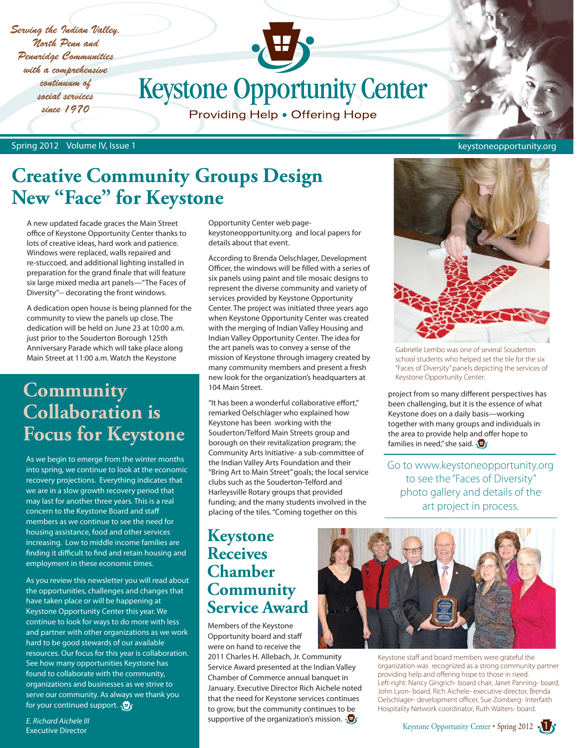*Serving the Indian Valley, North Penn and Pennridge Communities with a comprehensive continuum of social services since 1970*

**Keystone Opportunity Center** 

Providing Help . Offering Hope

Spring 2012 Volume IV, Issue 1 keystoneopportunity.org

# **Creative Community Groups Design New "Face" for Keystone**

A new updated facade graces the Main Street office of Keystone Opportunity Center thanks to lots of creative ideas, hard work and patience. Windows were replaced, walls repaired and re-stuccoed, and additional lighting installed in preparation for the grand finale that will feature six large mixed media art panels—"The Faces of Diversity"-- decorating the front windows.

A dedication open house is being planned for the community to view the panels up close. The dedication will be held on June 23 at 10:00 a.m. just prior to the Souderton Borough 125th Anniversary Parade which will take place along Main Street at 11:00 a.m. Watch the Keystone

# **Community Collaboration is Focus for Keystone**

As we begin to emerge from the winter months into spring, we continue to look at the economic recovery projections. Everything indicates that we are in a slow growth recovery period that may last for another three years. This is a real concern to the Keystone Board and staff members as we continue to see the need for housing assistance, food and other services increasing. Low to middle income families are finding it difficult to find and retain housing and employment in these economic times.

As you review this newsletter you will read about the opportunities, challenges and changes that have taken place or will be happening at Keystone Opportunity Center this year. We continue to look for ways to do more with less and partner with other organizations as we work hard to be good stewards of our available resources. Our focus for this year is collaboration. See how many opportunities Keystone has found to collaborate with the community, organizations and businesses as we strive to serve our community. As always we thank you for your continued support.  $\sqrt{u}$ 

*E. Richard Aichele III* Executive Director

Opportunity Center web pagekeystoneopportunity.org and local papers for details about that event.

According to Brenda Oelschlager, Development Officer, the windows will be filled with a series of six panels using paint and tile mosaic designs to represent the diverse community and variety of services provided by Keystone Opportunity Center. The project was initiated three years ago when Keystone Opportunity Center was created with the merging of Indian Valley Housing and Indian Valley Opportunity Center. The idea for the art panels was to convey a sense of the mission of Keystone through imagery created by many community members and present a fresh new look for the organization's headquarters at 104 Main Street.

"It has been a wonderful collaborative effort," remarked Oelschlager who explained how Keystone has been working with the Souderton/Telford Main Streets group and borough on their revitalization program; the Community Arts Initiative- a sub-committee of the Indian Valley Arts Foundation and their "Bring Art to Main Street" goals; the local service clubs such as the Souderton-Telford and Harleysville Rotary groups that provided funding; and the many students involved in the placing of the tiles. "Coming together on this

## **Keystone Receives Chamber Community Service Award**

Members of the Keystone Opportunity board and staff were on hand to receive the

2011 Charles H. Allebach, Jr. Community Service Award presented at the Indian Valley Chamber of Commerce annual banquet in January. Executive Director Rich Aichele noted that the need for Keystone services continues to grow, but the community continues to be supportive of the organization's mission.  $\mathbf{\overline{\Psi}}$ 



Gabrielle Lembo was one of several Souderton school students who helped set the tile for the six "Faces of Diversity" panels depicting the services of Keystone Opportunity Center.

project from so many different perspectives has been challenging, but it is the essence of what Keystone does on a daily basis—working together with many groups and individuals in the area to provide help and offer hope to families in need," she said.  $\sqrt{\mathbf{F}}$ 

Go to www.keystoneopportunity.org to see the "Faces of Diversity" photo gallery and details of the art project in process.



Keystone staff and board members were grateful the organization was recognized as a strong community partner providing help and offering hope to those in need. Left-right: Nancy Gingrich- board chair, Janet Panning- board, John Lyon- board, Rich Aichele- executive director, Brenda Oelschlager- development officer, Sue Zomberg- Interfaith Hospitality Network coordinator, Ruth Walters- board.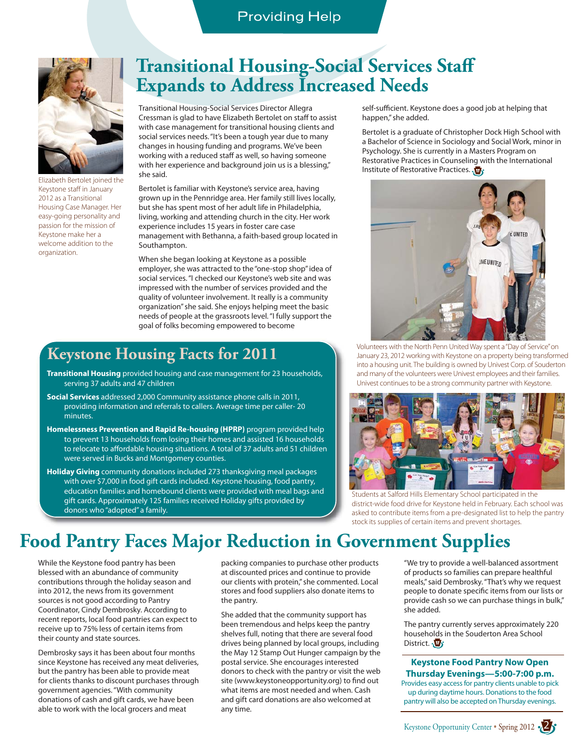## **Providing Help**



Elizabeth Bertolet joined the Keystone staff in January 2012 as a Transitional Housing Case Manager. Her easy-going personality and passion for the mission of Keystone make her a welcome addition to the organization.

## **Transitional Housing-Social Services Staff Expands to Address Increased Needs**

Transitional Housing-Social Services Director Allegra Cressman is glad to have Elizabeth Bertolet on staff to assist with case management for transitional housing clients and social services needs. "It's been a tough year due to many changes in housing funding and programs. We've been working with a reduced staff as well, so having someone with her experience and background join us is a blessing," she said.

Bertolet is familiar with Keystone's service area, having grown up in the Pennridge area. Her family still lives locally, but she has spent most of her adult life in Philadelphia, living, working and attending church in the city. Her work experience includes 15 years in foster care case management with Bethanna, a faith-based group located in Southampton.

When she began looking at Keystone as a possible employer, she was attracted to the "one-stop shop" idea of social services. "I checked our Keystone's web site and was impressed with the number of services provided and the quality of volunteer involvement. It really is a community organization" she said. She enjoys helping meet the basic needs of people at the grassroots level. "I fully support the goal of folks becoming empowered to become

## **Keystone Housing Facts for 2011**

- **Transitional Housing** provided housing and case management for 23 households, serving 37 adults and 47 children
- **Social Services** addressed 2,000 Community assistance phone calls in 2011, providing information and referrals to callers. Average time per caller- 20 minutes.
- **Homelessness Prevention and Rapid Re-housing (HPRP)** program provided help to prevent 13 households from losing their homes and assisted 16 households to relocate to affordable housing situations. A total of 37 adults and 51 children were served in Bucks and Montgomery counties.

**Holiday Giving** community donations included 273 thanksgiving meal packages with over \$7,000 in food gift cards included. Keystone housing, food pantry, education families and homebound clients were provided with meal bags and gift cards. Approximately 125 families received Holiday gifts provided by donors who "adopted" a family.

self-sufficient. Keystone does a good job at helping that happen," she added.

Bertolet is a graduate of Christopher Dock High School with a Bachelor of Science in Sociology and Social Work, minor in Psychology. She is currently in a Masters Program on Restorative Practices in Counseling with the International Institute of Restorative Practices.



Volunteers with the North Penn United Way spent a "Day of Service" on January 23, 2012 working with Keystone on a property being transformed into a housing unit. The building is owned by Univest Corp. of Souderton and many of the volunteers were Univest employees and their families. Univest continues to be a strong community partner with Keystone.



Students at Salford Hills Elementary School participated in the district-wide food drive for Keystone held in February. Each school was asked to contribute items from a pre-designated list to help the pantry stock its supplies of certain items and prevent shortages.

## **Food Pantry Faces Major Reduction in Government Supplies**

While the Keystone food pantry has been blessed with an abundance of community contributions through the holiday season and into 2012, the news from its government sources is not good according to Pantry Coordinator, Cindy Dembrosky. According to recent reports, local food pantries can expect to receive up to 75% less of certain items from their county and state sources.

Dembrosky says it has been about four months since Keystone has received any meat deliveries, but the pantry has been able to provide meat for clients thanks to discount purchases through government agencies. "With community donations of cash and gift cards, we have been able to work with the local grocers and meat

packing companies to purchase other products at discounted prices and continue to provide our clients with protein," she commented. Local stores and food suppliers also donate items to the pantry.

She added that the community support has been tremendous and helps keep the pantry shelves full, noting that there are several food drives being planned by local groups, including the May 12 Stamp Out Hunger campaign by the postal service. She encourages interested donors to check with the pantry or visit the web site (www.keystoneopportunity.org) to find out what items are most needed and when. Cash and gift card donations are also welcomed at any time.

"We try to provide a well-balanced assortment of products so families can prepare healthful meals," said Dembrosky. "That's why we request people to donate specific items from our lists or provide cash so we can purchase things in bulk," she added.

The pantry currently serves approximately 220 households in the Souderton Area School District. **D** 

#### **Keystone Food Pantry Now Open Thursday Evenings—5:00-7:00 p.m.**

Provides easy access for pantry clients unable to pick up during daytime hours. Donations to the food pantry will also be accepted on Thursday evenings.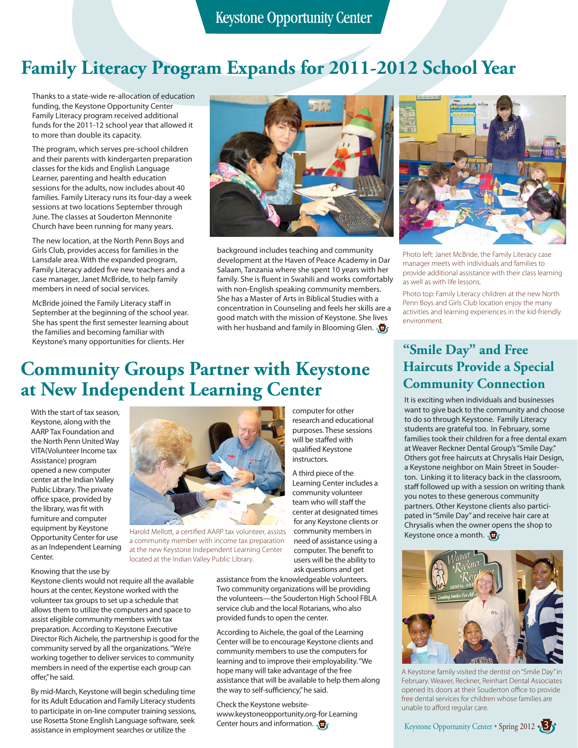# **Family Literacy Program Expands for 2011-2012 School Year**

Thanks to a state-wide re-allocation of education funding, the Keystone Opportunity Center Family Literacy program received additional funds for the 2011-12 school year that allowed it to more than double its capacity.

The program, which serves pre-school children and their parents with kindergarten preparation classes for the kids and English Language Learner, parenting and health education sessions for the adults, now includes about 40 families. Family Literacy runs its four-day a week sessions at two locations September through June. The classes at Souderton Mennonite Church have been running for many years.

The new location, at the North Penn Boys and Girls Club, provides access for families in the Lansdale area. With the expanded program, Family Literacy added five new teachers and a case manager, Janet McBride, to help family members in need of social services.

McBride joined the Family Literacy staff in September at the beginning of the school year. She has spent the first semester learning about the families and becoming familiar with Keystone's many opportunities for clients. Her



background includes teaching and community development at the Haven of Peace Academy in Dar Salaam, Tanzania where she spent 10 years with her family. She is fluent in Swahili and works comfortably with non-English speaking community members. She has a Master of Arts in Biblical Studies with a concentration in Counseling and feels her skills are a good match with the mission of Keystone. She lives with her husband and family in Blooming Glen.

> computer for other research and educational purposes. These sessions will be staffed with qualified Keystone instructors.

A third piece of the Learning Center includes a community volunteer team who will staff the center at designated times for any Keystone clients or community members in need of assistance using a computer. The benefit to users will be the ability to



Photo left: Janet McBride, the Family Literacy case manager meets with individuals and families to provide additional assistance with their class learning as well as with life lessons.

Photo top: Family Literacy children at the new North Penn Boys and Girls Club location enjoy the many activities and learning experiences in the kid-friendly environment.

# **Community Groups Partner with Keystone at New Independent Learning Center**

With the start of tax season, Keystone, along with the AARP Tax Foundation and the North Penn United Way VITA(Volunteer Income tax Assistance) program opened a new computer center at the Indian Valley Public Library. The private office space, provided by the library, was fit with furniture and computer equipment by Keystone Opportunity Center for use as an Independent Learning Center.

#### Knowing that the use by

Keystone clients would not require all the available hours at the center, Keystone worked with the volunteer tax groups to set up a schedule that allows them to utilize the computers and space to assist eligible community members with tax preparation. According to Keystone Executive Director Rich Aichele, the partnership is good for the community served by all the organizations. "We're working together to deliver services to community members in need of the expertise each group can offer," he said.

By mid-March, Keystone will begin scheduling time for its Adult Education and Family Literacy students to participate in on-line computer training sessions, use Rosetta Stone English Language software, seek assistance in employment searches or utilize the



Harold Mellott, a certified AARP tax volunteer, assists a community member with income tax preparation at the new Keystone Independent Learning Center located at the Indian Valley Public Library.

ask questions and get assistance from the knowledgeable volunteers. Two community organizations will be providing the volunteers—the Souderton High School FBLA service club and the local Rotarians, who also provided funds to open the center.

According to Aichele, the goal of the Learning Center will be to encourage Keystone clients and community members to use the computers for learning and to improve their employability. "We hope many will take advantage of the free assistance that will be available to help them along the way to self-sufficiency," he said.

Check the Keystone websitewww.keystoneopportunity.org-for Learning Center hours and information.  $\sqrt{\mathbf{B}}$ 

## **"Smile Day" and Free Haircuts Provide a Special Community Connection**

It is exciting when individuals and businesses want to give back to the community and choose to do so through Keystone. Family Literacy students are grateful too. In February, some families took their children for a free dental exam at Weaver Reckner Dental Group's "Smile Day." Others got free haircuts at Chrysalis Hair Design, a Keystone neighbor on Main Street in Souderton. Linking it to literacy back in the classroom, staff followed up with a session on writing thank you notes to these generous community partners. Other Keystone clients also participated in "Smile Day" and receive hair care at Chrysalis when the owner opens the shop to Keystone once a month.



A Keystone family visited the dentist on "Smile Day" in February. Weaver, Reckner, Reinhart Dental Associates opened its doors at their Souderton office to provide free dental services for children whose families are unable to afford regular care.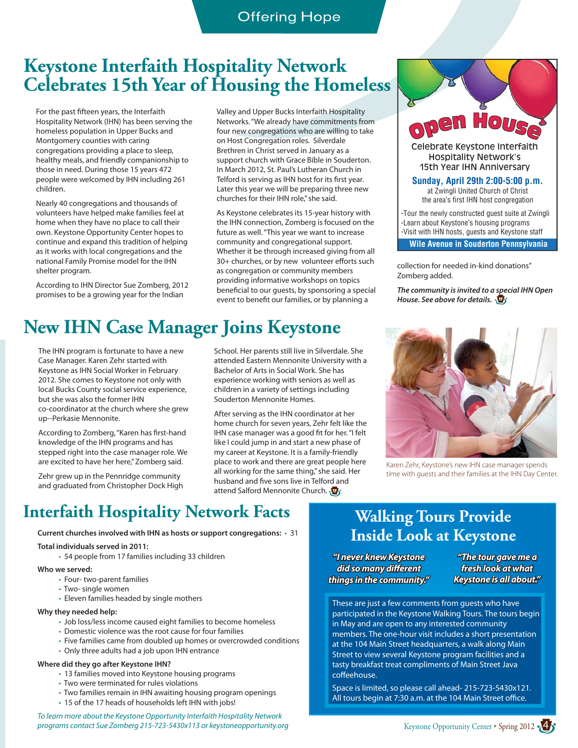## **Keystone Interfaith Hospitality Network Celebrates 15th Year of Housing the Homeless**

For the past fifteen years, the Interfaith Hospitality Network (IHN) has been serving the homeless population in Upper Bucks and Montgomery counties with caring congregations providing a place to sleep, healthy meals, and friendly companionship to those in need. During those 15 years 472 people were welcomed by IHN including 261 children.

Nearly 40 congregations and thousands of volunteers have helped make families feel at home when they have no place to call their own. Keystone Opportunity Center hopes to continue and expand this tradition of helping as it works with local congregations and the national Family Promise model for the IHN shelter program.

According to IHN Director Sue Zomberg, 2012 promises to be a growing year for the Indian

Valley and Upper Bucks Interfaith Hospitality Networks. "We already have commitments from four new congregations who are willing to take on Host Congregation roles. Silverdale Brethren in Christ served in January as a support church with Grace Bible in Souderton. In March 2012, St. Paul's Lutheran Church in Telford is serving as IHN host for its first year. Later this year we will be preparing three new churches for their IHN role," she said.

As Keystone celebrates its 15-year history with the IHN connection, Zomberg is focused on the future as well. "This year we want to increase community and congregational support. Whether it be through increased giving from all 30+ churches, or by new volunteer efforts such as congregation or community members providing informative workshops on topics beneficial to our guests, by sponsoring a special event to benefit our families, or by planning a

# **New IHN Case Manager Joins Keystone**

The IHN program is fortunate to have a new Case Manager. Karen Zehr started with Keystone as IHN Social Worker in February 2012. She comes to Keystone not only with local Bucks County social service experience, but she was also the former IHN co-coordinator at the church where she grew up--Perkasie Mennonite.

According to Zomberg, "Karen has first-hand knowledge of the IHN programs and has stepped right into the case manager role. We are excited to have her here," Zomberg said.

Zehr grew up in the Pennridge community and graduated from Christopher Dock High School. Her parents still live in Silverdale. She attended Eastern Mennonite University with a Bachelor of Arts in Social Work. She has experience working with seniors as well as children in a variety of settings including Souderton Mennonite Homes.

After serving as the IHN coordinator at her home church for seven years, Zehr felt like the IHN case manager was a good fit for her. "I felt like I could jump in and start a new phase of my career at Keystone. It is a family-friendly place to work and there are great people here all working for the same thing," she said. Her husband and five sons live in Telford and attend Salford Mennonite Church.



*The community is invited to a special IHN Open House. See above for details.*  $\overline{\mathbf{F}}$ 



Karen Zehr, Keystone's new IHN case manager spends time with guests and their families at the IHN Day Center.

# **Interfaith Hospitality Network Facts Walking Tours Provide**

**Current churches involved with IHN as hosts or support congregations:** • 31

#### **Total individuals served in 2011:**

• 54 people from 17 families including 33 children

#### **Who we served:**

- Four- two-parent families
- Two- single women
- Eleven families headed by single mothers

#### **Why they needed help:**

- Job loss/less income caused eight families to become homeless
- Domestic violence was the root cause for four families
- Five families came from doubled up homes or overcrowded conditions
- Only three adults had a job upon IHN entrance

#### **Where did they go after Keystone IHN?**

- 13 families moved into Keystone housing programs
- Two were terminated for rules violations
- Two families remain in IHN awaiting housing program openings
- 15 of the 17 heads of households left IHN with jobs!

*To learn more about the Keystone Opportunity Interfaith Hospitality Network programs contact Sue Zomberg 215-723-5430x113 or keystoneopportunity.org*

# **Inside Look at Keystone**

*"I never knew Keystone did so many different things in the community."* 

*"The tour gave me a a fresh look at what Keystone is all about."* 

These are just a few comments from guests who have participated in the Keystone Walking Tours. The tours begin in May and are open to any interested community members. The one-hour visit includes a short presentation at the 104 Main Street headquarters, a walk along Main Street to view several Keystone program facilities and a tasty breakfast treat compliments of Main Street Java coffeehouse.

Space is limited, so please call ahead- 215-723-5430x121. All tours begin at 7:30 a.m. at the 104 Main Street office.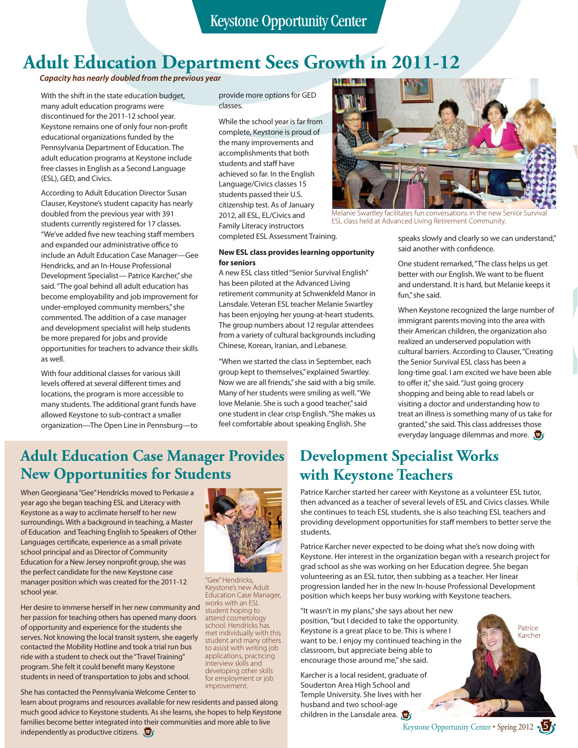# **Adult Education Department Sees Growth in 2011-12**

#### *Capacity has nearly doubled from the previous year*

With the shift in the state education budget, many adult education programs were discontinued for the 2011-12 school year. Keystone remains one of only four non-profit educational organizations funded by the Pennsylvania Department of Education. The adult education programs at Keystone include free classes in English as a Second Language (ESL), GED, and Civics.

According to Adult Education Director Susan Clauser, Keystone's student capacity has nearly doubled from the previous year with 391 students currently registered for 17 classes. "We've added five new teaching staff members and expanded our administrative office to include an Adult Education Case Manager—Gee Hendricks, and an In-House Professional Development Specialist— Patrice Karcher," she said. "The goal behind all adult education has become employability and job improvement for under-employed community members," she commented. The addition of a case manager and development specialist will help students be more prepared for jobs and provide opportunities for teachers to advance their skills as well.

With four additional classes for various skill levels offered at several different times and locations, the program is more accessible to many students. The additional grant funds have allowed Keystone to sub-contract a smaller organization—The Open Line in Pennsburg—to provide more options for GED classes.

While the school year is far from complete, Keystone is proud of the many improvements and accomplishments that both students and staff have achieved so far. In the English Language/Civics classes 15 students passed their U.S. citizenship test. As of January 2012, all ESL, EL/Civics and Family Literacy instructors completed ESL Assessment Training.

#### **New ESL class provides learning opportunity for seniors**

A new ESL class titled "Senior Survival English" has been piloted at the Advanced Living retirement community at Schwenkfeld Manor in Lansdale. Veteran ESL teacher Melanie Swartley has been enjoying her young-at-heart students. The group numbers about 12 regular attendees from a variety of cultural backgrounds including Chinese, Korean, Iranian, and Lebanese.

"When we started the class in September, each group kept to themselves," explained Swartley. Now we are all friends," she said with a big smile. Many of her students were smiling as well. "We love Melanie. She is such a good teacher," said one student in clear crisp English. "She makes us feel comfortable about speaking English. She



Melanie Swartley facilitates fun conversations in the new Senior Survival ESL class held at Advanced Living Retirement Community.

speaks slowly and clearly so we can understand," said another with confidence.

One student remarked, "The class helps us get better with our English. We want to be fluent and understand. It is hard, but Melanie keeps it fun," she said.

When Keystone recognized the large number of immigrant parents moving into the area with their American children, the organization also realized an underserved population with cultural barriers. According to Clauser, "Creating the Senior Survival ESL class has been a long-time goal. I am excited we have been able to offer it," she said. "Just going grocery shopping and being able to read labels or visiting a doctor and understanding how to treat an illness is something many of us take for granted," she said. This class addresses those everyday language dilemmas and more.  $\mathbf{F}$ 

## **Adult Education Case Manager Provides New Opportunities for Students**

When Georgieana "Gee" Hendricks moved to Perkasie a year ago she began teaching ESL and Literacy with Keystone as a way to acclimate herself to her new surroundings. With a background in teaching, a Master of Education and Teaching English to Speakers of Other Languages certificate, experience as a small private school principal and as Director of Community Education for a New Jersey nonprofit group, she was the perfect candidate for the new Keystone case manager position which was created for the 2011-12 school year.

Her desire to immerse herself in her new community and her passion for teaching others has opened many doors of opportunity and experience for the students she serves. Not knowing the local transit system, she eagerly contacted the Mobility Hotline and took a trial run bus ride with a student to check out the "Travel Training" program. She felt it could benefit many Keystone students in need of transportation to jobs and school.

independently as productive citizens.  $\mathbf{F}$ 

She has contacted the Pennsylvania Welcome Center to learn about programs and resources available for new residents and passed along much good advice to Keystone students. As she learns, she hopes to help Keystone

families become better integrated into their communities and more able to live



"Gee" Hendricks, Keystone's new Adult Education Case Manager, works with an ESL student hoping to attend cosmetology school. Hendricks has met individually with this student and many others to assist with writing job applications, practicing interview skills and developing other skills for employment or job improvement.

## **Development Specialist Works with Keystone Teachers**

Patrice Karcher started her career with Keystone as a volunteer ESL tutor, then advanced as a teacher of several levels of ESL and Civics classes. While she continues to teach ESL students, she is also teaching ESL teachers and providing development opportunities for staff members to better serve the students.

Patrice Karcher never expected to be doing what she's now doing with Keystone. Her interest in the organization began with a research project for grad school as she was working on her Education degree. She began volunteering as an ESL tutor, then subbing as a teacher. Her linear progression landed her in the new In-house Professional Development position which keeps her busy working with Keystone teachers.

"It wasn't in my plans," she says about her new position, "but I decided to take the opportunity. Keystone is a great place to be. This is where I want to be. I enjoy my continued teaching in the classroom, but appreciate being able to encourage those around me," she said.

Karcher is a local resident, graduate of Souderton Area High School and Temple University. She lives with her husband and two school-age children in the Lansdale area.  $\mathbf{\Phi}_1$ 



Keystone Opportunity Center • Spring 2012 • 5